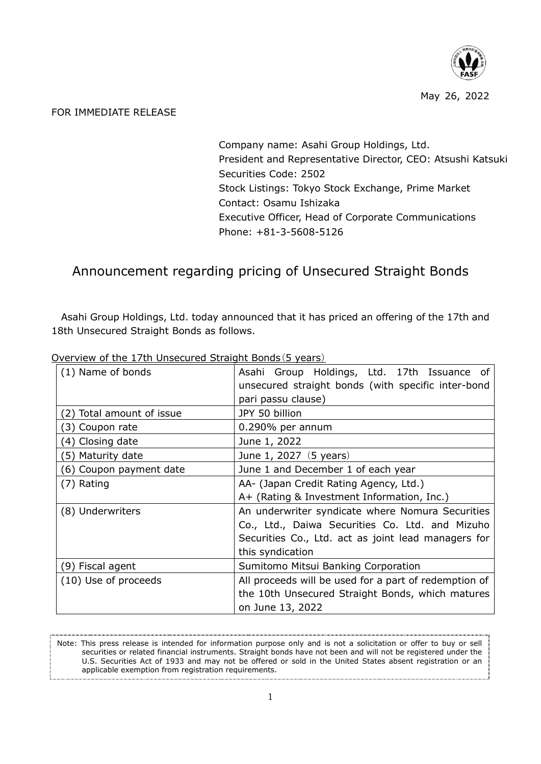

## FOR IMMEDIATE RELEASE

Company name: Asahi Group Holdings, Ltd. President and Representative Director, CEO: Atsushi Katsuki Securities Code: 2502 Stock Listings: Tokyo Stock Exchange, Prime Market Contact: Osamu Ishizaka Executive Officer, Head of Corporate Communications Phone: +81-3-5608-5126

## Announcement regarding pricing of Unsecured Straight Bonds

Asahi Group Holdings, Ltd. today announced that it has priced an offering of the 17th and 18th Unsecured Straight Bonds as follows.

| (1) Name of bonds<br>unsecured straight bonds (with specific inter-bond<br>pari passu clause)<br>JPY 50 billion<br>(2) Total amount of issue<br>(3) Coupon rate<br>$0.290\%$ per annum<br>(4) Closing date<br>June 1, 2022<br>(5) Maturity date<br>June 1, 2027 (5 years)<br>June 1 and December 1 of each year<br>(6) Coupon payment date<br>AA- (Japan Credit Rating Agency, Ltd.)<br>(7) Rating<br>A+ (Rating & Investment Information, Inc.)<br>An underwriter syndicate where Nomura Securities<br>(8) Underwriters<br>Co., Ltd., Daiwa Securities Co. Ltd. and Mizuho<br>Securities Co., Ltd. act as joint lead managers for<br>this syndication<br>(9) Fiscal agent<br>Sumitomo Mitsui Banking Corporation<br>All proceeds will be used for a part of redemption of<br>(10) Use of proceeds<br>the 10th Unsecured Straight Bonds, which matures<br>on June 13, 2022 |                                             |
|----------------------------------------------------------------------------------------------------------------------------------------------------------------------------------------------------------------------------------------------------------------------------------------------------------------------------------------------------------------------------------------------------------------------------------------------------------------------------------------------------------------------------------------------------------------------------------------------------------------------------------------------------------------------------------------------------------------------------------------------------------------------------------------------------------------------------------------------------------------------------|---------------------------------------------|
|                                                                                                                                                                                                                                                                                                                                                                                                                                                                                                                                                                                                                                                                                                                                                                                                                                                                            | Asahi Group Holdings, Ltd. 17th Issuance of |
|                                                                                                                                                                                                                                                                                                                                                                                                                                                                                                                                                                                                                                                                                                                                                                                                                                                                            |                                             |
|                                                                                                                                                                                                                                                                                                                                                                                                                                                                                                                                                                                                                                                                                                                                                                                                                                                                            |                                             |
|                                                                                                                                                                                                                                                                                                                                                                                                                                                                                                                                                                                                                                                                                                                                                                                                                                                                            |                                             |
|                                                                                                                                                                                                                                                                                                                                                                                                                                                                                                                                                                                                                                                                                                                                                                                                                                                                            |                                             |
|                                                                                                                                                                                                                                                                                                                                                                                                                                                                                                                                                                                                                                                                                                                                                                                                                                                                            |                                             |
|                                                                                                                                                                                                                                                                                                                                                                                                                                                                                                                                                                                                                                                                                                                                                                                                                                                                            |                                             |
|                                                                                                                                                                                                                                                                                                                                                                                                                                                                                                                                                                                                                                                                                                                                                                                                                                                                            |                                             |
|                                                                                                                                                                                                                                                                                                                                                                                                                                                                                                                                                                                                                                                                                                                                                                                                                                                                            |                                             |
|                                                                                                                                                                                                                                                                                                                                                                                                                                                                                                                                                                                                                                                                                                                                                                                                                                                                            |                                             |
|                                                                                                                                                                                                                                                                                                                                                                                                                                                                                                                                                                                                                                                                                                                                                                                                                                                                            |                                             |
|                                                                                                                                                                                                                                                                                                                                                                                                                                                                                                                                                                                                                                                                                                                                                                                                                                                                            |                                             |
|                                                                                                                                                                                                                                                                                                                                                                                                                                                                                                                                                                                                                                                                                                                                                                                                                                                                            |                                             |
|                                                                                                                                                                                                                                                                                                                                                                                                                                                                                                                                                                                                                                                                                                                                                                                                                                                                            |                                             |
|                                                                                                                                                                                                                                                                                                                                                                                                                                                                                                                                                                                                                                                                                                                                                                                                                                                                            |                                             |
|                                                                                                                                                                                                                                                                                                                                                                                                                                                                                                                                                                                                                                                                                                                                                                                                                                                                            |                                             |
|                                                                                                                                                                                                                                                                                                                                                                                                                                                                                                                                                                                                                                                                                                                                                                                                                                                                            |                                             |
|                                                                                                                                                                                                                                                                                                                                                                                                                                                                                                                                                                                                                                                                                                                                                                                                                                                                            |                                             |

Overview of the 17th Unsecured Straight Bonds(5 years)

Note: This press release is intended for information purpose only and is not a solicitation or offer to buy or sell securities or related financial instruments. Straight bonds have not been and will not be registered under the U.S. Securities Act of 1933 and may not be offered or sold in the United States absent registration or an applicable exemption from registration requirements.